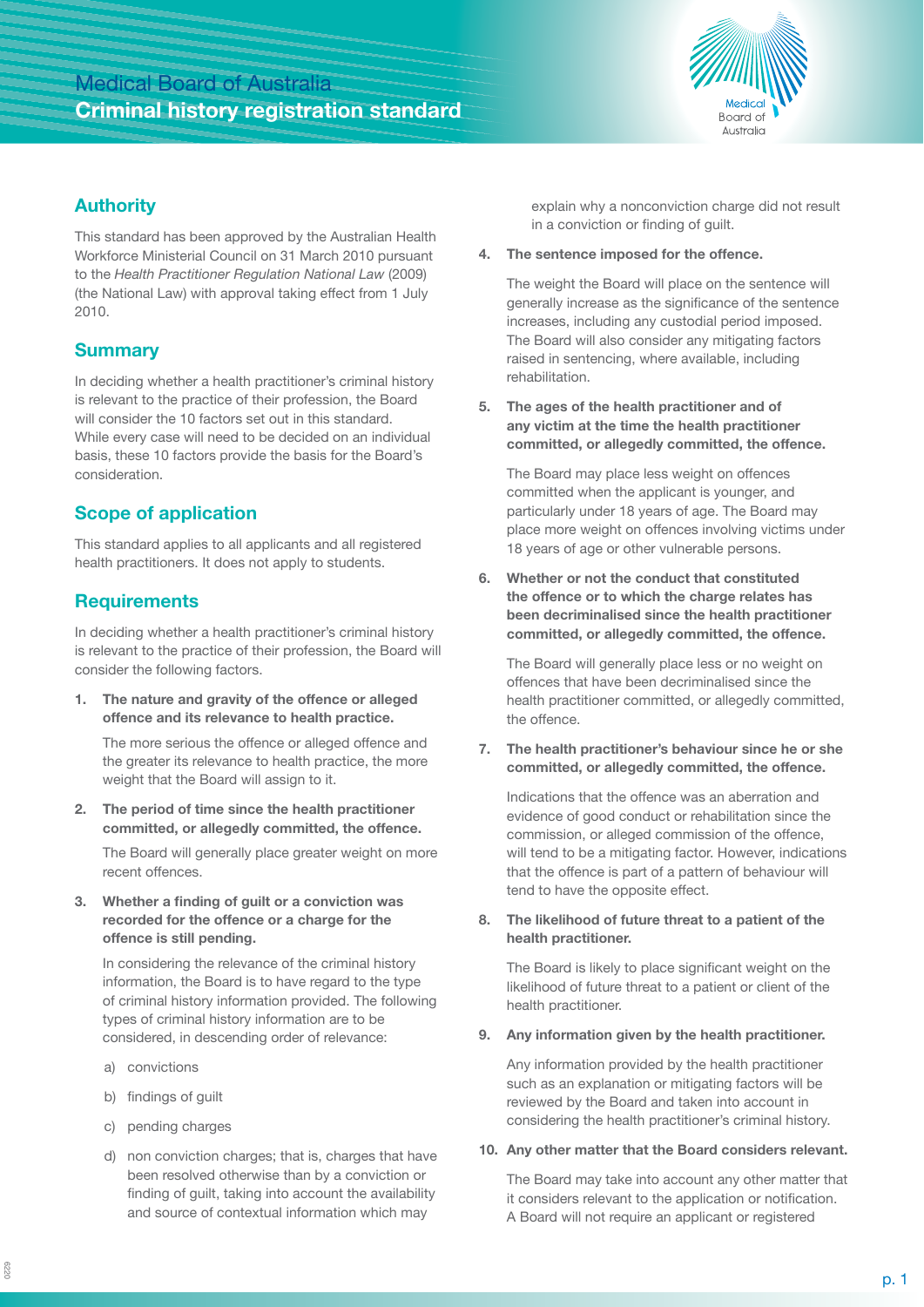# Medical Board of Australia **Criminal history registration standard**



#### **Authority**

This standard has been approved by the Australian Health Workforce Ministerial Council on 31 March 2010 pursuant to the *Health Practitioner Regulation National Law* (2009) (the National Law) with approval taking effect from 1 July 2010.

#### **Summary**

In deciding whether a health practitioner's criminal history is relevant to the practice of their profession, the Board will consider the 10 factors set out in this standard. While every case will need to be decided on an individual basis, these 10 factors provide the basis for the Board's consideration.

### **Scope of application**

This standard applies to all applicants and all registered health practitioners. It does not apply to students.

#### **Requirements**

In deciding whether a health practitioner's criminal history is relevant to the practice of their profession, the Board will consider the following factors.

**1. The nature and gravity of the offence or alleged offence and its relevance to health practice.** 

The more serious the offence or alleged offence and the greater its relevance to health practice, the more weight that the Board will assign to it.

**2. The period of time since the health practitioner committed, or allegedly committed, the offence.**

The Board will generally place greater weight on more recent offences.

**3. Whether a finding of guilt or a conviction was recorded for the offence or a charge for the offence is still pending.**

In considering the relevance of the criminal history information, the Board is to have regard to the type of criminal history information provided. The following types of criminal history information are to be considered, in descending order of relevance:

- a) convictions
- b) findings of guilt
- c) pending charges
- d) non conviction charges; that is, charges that have been resolved otherwise than by a conviction or finding of guilt, taking into account the availability and source of contextual information which may

explain why a nonconviction charge did not result in a conviction or finding of guilt.

**4. The sentence imposed for the offence.**

The weight the Board will place on the sentence will generally increase as the significance of the sentence increases, including any custodial period imposed. The Board will also consider any mitigating factors raised in sentencing, where available, including rehabilitation.

**5. The ages of the health practitioner and of any victim at the time the health practitioner committed, or allegedly committed, the offence.**

The Board may place less weight on offences committed when the applicant is younger, and particularly under 18 years of age. The Board may place more weight on offences involving victims under 18 years of age or other vulnerable persons.

**6. Whether or not the conduct that constituted the offence or to which the charge relates has been decriminalised since the health practitioner committed, or allegedly committed, the offence.**

The Board will generally place less or no weight on offences that have been decriminalised since the health practitioner committed, or allegedly committed, the offence.

**7. The health practitioner's behaviour since he or she committed, or allegedly committed, the offence.**

Indications that the offence was an aberration and evidence of good conduct or rehabilitation since the commission, or alleged commission of the offence, will tend to be a mitigating factor. However, indications that the offence is part of a pattern of behaviour will tend to have the opposite effect.

**8. The likelihood of future threat to a patient of the health practitioner.**

The Board is likely to place significant weight on the likelihood of future threat to a patient or client of the health practitioner.

**9. Any information given by the health practitioner.**

Any information provided by the health practitioner such as an explanation or mitigating factors will be reviewed by the Board and taken into account in considering the health practitioner's criminal history.

#### **10. Any other matter that the Board considers relevant.**

The Board may take into account any other matter that it considers relevant to the application or notification. A Board will not require an applicant or registered